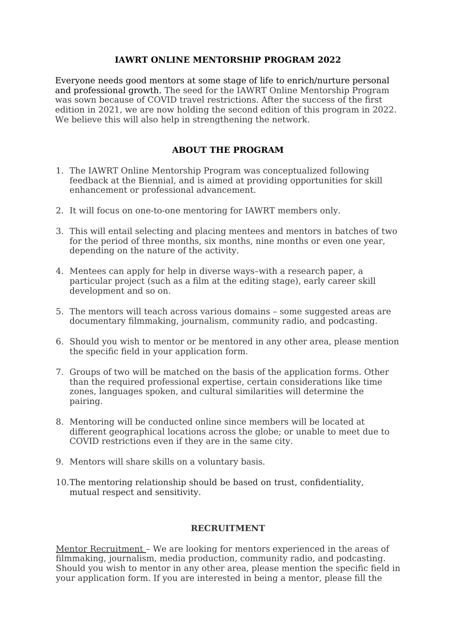## **IAWRT ONLINE MENTORSHIP PROGRAM 2022**

Everyone needs good mentors at some stage of life to enrich/nurture personal and professional growth. The seed for the IAWRT Online Mentorship Program was sown because of COVID travel restrictions. After the success of the first edition in 2021, we are now holding the second edition of this program in 2022. We believe this will also help in strengthening the network.

## **ABOUT THE PROGRAM**

- 1. The IAWRT Online Mentorship Program was conceptualized following feedback at the Biennial, and is aimed at providing opportunities for skill enhancement or professional advancement.
- 2. It will focus on one-to-one mentoring for IAWRT members only.
- 3. This will entail selecting and placing mentees and mentors in batches of two for the period of three months, six months, nine months or even one year, depending on the nature of the activity.
- 4. Mentees can apply for help in diverse ways–with a research paper, a particular project (such as a film at the editing stage), early career skill development and so on.
- 5. The mentors will teach across various domains some suggested areas are documentary filmmaking, journalism, community radio, and podcasting.
- 6. Should you wish to mentor or be mentored in any other area, please mention the specific field in your application form.
- 7. Groups of two will be matched on the basis of the application forms. Other than the required professional expertise, certain considerations like time zones, languages spoken, and cultural similarities will determine the pairing.
- 8. Mentoring will be conducted online since members will be located at different geographical locations across the globe; or unable to meet due to COVID restrictions even if they are in the same city.
- 9. Mentors will share skills on a voluntary basis.
- 10.The mentoring relationship should be based on trust, confidentiality, mutual respect and sensitivity.

## **RECRUITMENT**

Mentor Recruitment – We are looking for mentors experienced in the areas of filmmaking, journalism, media production, community radio, and podcasting. Should you wish to mentor in any other area, please mention the specific field in your application form. If you are interested in being a mentor, please fill the